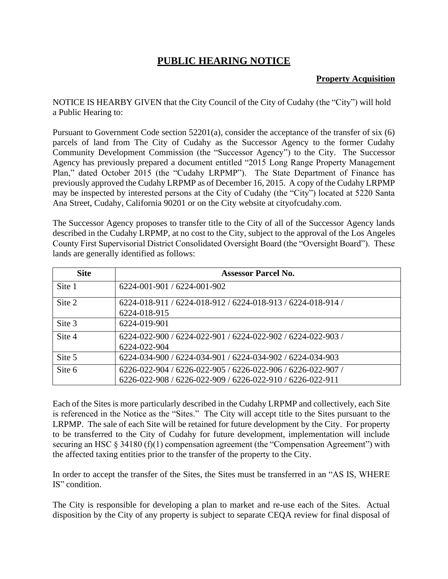## **PUBLIC HEARING NOTICE**

## **Property Acquisition**

NOTICE IS HEARBY GIVEN that the City Council of the City of Cudahy (the "City") will hold a Public Hearing to:

Pursuant to Government Code section 52201(a), consider the acceptance of the transfer of six (6) parcels of land from The City of Cudahy as the Successor Agency to the former Cudahy Community Development Commission (the "Successor Agency") to the City. The Successor Agency has previously prepared a document entitled "2015 Long Range Property Management Plan," dated October 2015 (the "Cudahy LRPMP"). The State Department of Finance has previously approved the Cudahy LRPMP as of December 16, 2015. A copy of the Cudahy LRPMP may be inspected by interested persons at the City of Cudahy (the "City") located at 5220 Santa Ana Street, Cudahy, California 90201 or on the City website at cityofcudahy.com.

The Successor Agency proposes to transfer title to the City of all of the Successor Agency lands described in the Cudahy LRPMP, at no cost to the City, subject to the approval of the Los Angeles County First Supervisorial District Consolidated Oversight Board (the "Oversight Board"). These lands are generally identified as follows:

| <b>Site</b> | <b>Assessor Parcel No.</b>                                                                                               |
|-------------|--------------------------------------------------------------------------------------------------------------------------|
| Site 1      | 6224-001-901 / 6224-001-902                                                                                              |
| Site 2      | 6224-018-911 / 6224-018-912 / 6224-018-913 / 6224-018-914 /<br>6224-018-915                                              |
| Site 3      | 6224-019-901                                                                                                             |
| Site 4      | 6224-022-900 / 6224-022-901 / 6224-022-902 / 6224-022-903 /<br>6224-022-904                                              |
| Site 5      | 6224-034-900 / 6224-034-901 / 6224-034-902 / 6224-034-903                                                                |
| Site 6      | 6226-022-904 / 6226-022-905 / 6226-022-906 / 6226-022-907 /<br>6226-022-908 / 6226-022-909 / 6226-022-910 / 6226-022-911 |

Each of the Sites is more particularly described in the Cudahy LRPMP and collectively, each Site is referenced in the Notice as the "Sites." The City will accept title to the Sites pursuant to the LRPMP. The sale of each Site will be retained for future development by the City. For property to be transferred to the City of Cudahy for future development, implementation will include securing an HSC § 34180 (f)(1) compensation agreement (the "Compensation Agreement") with the affected taxing entities prior to the transfer of the property to the City.

In order to accept the transfer of the Sites, the Sites must be transferred in an "AS IS, WHERE IS" condition.

The City is responsible for developing a plan to market and re-use each of the Sites. Actual disposition by the City of any property is subject to separate CEQA review for final disposal of